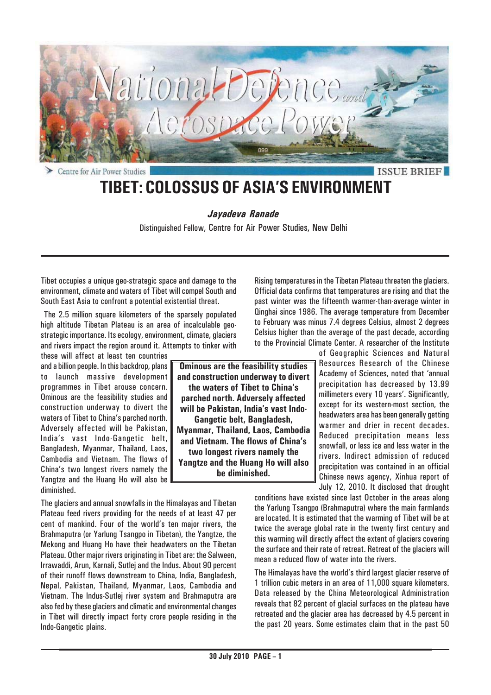

**TIBET: COLOSSUS OF ASIA'S ENVIRONMENT**

*Jayadeva Ranade*

Distinguished Fellow, Centre for Air Power Studies, New Delhi

**Ominous are the feasibility studies and construction underway to divert the waters of Tibet to China's parched north. Adversely affected will be Pakistan, India's vast Indo-Gangetic belt, Bangladesh, Myanmar, Thailand, Laos, Cambodia and Vietnam. The flows of China's two longest rivers namely the Yangtze and the Huang Ho will also be diminished.**

Tibet occupies a unique geo-strategic space and damage to the environment, climate and waters of Tibet will compel South and South East Asia to confront a potential existential threat.

 The 2.5 million square kilometers of the sparsely populated high altitude Tibetan Plateau is an area of incalculable geostrategic importance. Its ecology, environment, climate, glaciers and rivers impact the region around it. Attempts to tinker with

these will affect at least ten countries and a billion people. In this backdrop, plans to launch massive development programmes in Tibet arouse concern. Ominous are the feasibility studies and construction underway to divert the waters of Tibet to China's parched north. Adversely affected will be Pakistan, India's vast Indo-Gangetic belt, Bangladesh, Myanmar, Thailand, Laos, Cambodia and Vietnam. The flows of China's two longest rivers namely the Yangtze and the Huang Ho will also be diminished.

The glaciers and annual snowfalls in the Himalayas and Tibetan Plateau feed rivers providing for the needs of at least 47 per cent of mankind. Four of the world's ten major rivers, the Brahmaputra (or Yarlung Tsangpo in Tibetan), the Yangtze, the Mekong and Huang Ho have their headwaters on the Tibetan Plateau. Other major rivers originating in Tibet are: the Salween, Irrawaddi, Arun, Karnali, Sutlej and the Indus. About 90 percent of their runoff flows downstream to China, India, Bangladesh, Nepal, Pakistan, Thailand, Myanmar, Laos, Cambodia and Vietnam. The Indus-Sutlej river system and Brahmaputra are also fed by these glaciers and climatic and environmental changes in Tibet will directly impact forty crore people residing in the Indo-Gangetic plains.

Rising temperatures in the Tibetan Plateau threaten the glaciers. Official data confirms that temperatures are rising and that the past winter was the fifteenth warmer-than-average winter in Qinghai since 1986. The average temperature from December to February was minus 7.4 degrees Celsius, almost 2 degrees Celsius higher than the average of the past decade, according to the Provincial Climate Center. A researcher of the Institute

of Geographic Sciences and Natural Resources Research of the Chinese Academy of Sciences, noted that 'annual precipitation has decreased by 13.99 millimeters every 10 years'. Significantly, except for its western-most section, the headwaters area has been generally getting warmer and drier in recent decades. Reduced precipitation means less snowfall, or less ice and less water in the rivers. Indirect admission of reduced precipitation was contained in an official Chinese news agency, Xinhua report of July 12, 2010. It disclosed that drought

conditions have existed since last October in the areas along the Yarlung Tsangpo (Brahmaputra) where the main farmlands are located. It is estimated that the warming of Tibet will be at twice the average global rate in the twenty first century and this warming will directly affect the extent of glaciers covering the surface and their rate of retreat. Retreat of the glaciers will mean a reduced flow of water into the rivers.

The Himalayas have the world's third largest glacier reserve of 1 trillion cubic meters in an area of 11,000 square kilometers. Data released by the China Meteorological Administration reveals that 82 percent of glacial surfaces on the plateau have retreated and the glacier area has decreased by 4.5 percent in the past 20 years. Some estimates claim that in the past 50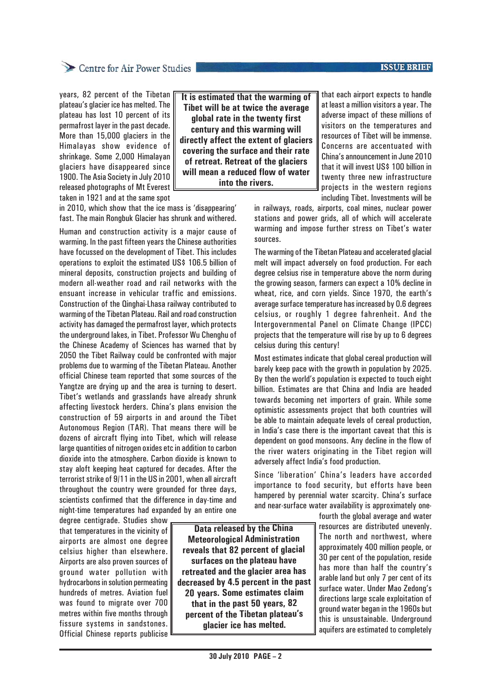## Centre for Air Power Studies

years, 82 percent of the Tibetan plateau's glacier ice has melted. The plateau has lost 10 percent of its permafrost layer in the past decade. More than 15,000 glaciers in the Himalayas show evidence of shrinkage. Some 2,000 Himalayan glaciers have disappeared since 1900. The Asia Society in July 2010 released photographs of Mt Everest

taken in 1921 and at the same spot

**It is estimated that the warming of Tibet will be at twice the average global rate in the twenty first century and this warming will directly affect the extent of glaciers covering the surface and their rate of retreat. Retreat of the glaciers will mean a reduced flow of water into the rivers.**

in 2010, which show that the ice mass is 'disappearing' fast. The main Rongbuk Glacier has shrunk and withered.

Human and construction activity is a major cause of warming. In the past fifteen years the Chinese authorities have focussed on the development of Tibet. This includes operations to exploit the estimated US\$ 106.5 billion of mineral deposits, construction projects and building of modern all-weather road and rail networks with the ensuant increase in vehicular traffic and emissions. Construction of the Qinghai-Lhasa railway contributed to warming of the Tibetan Plateau. Rail and road construction activity has damaged the permafrost layer, which protects the underground lakes, in Tibet. Professor Wu Chenghu of the Chinese Academy of Sciences has warned that by 2050 the Tibet Railway could be confronted with major problems due to warming of the Tibetan Plateau. Another official Chinese team reported that some sources of the Yangtze are drying up and the area is turning to desert. Tibet's wetlands and grasslands have already shrunk affecting livestock herders. China's plans envision the construction of 59 airports in and around the Tibet Autonomous Region (TAR). That means there will be dozens of aircraft flying into Tibet, which will release large quantities of nitrogen oxides etc in addition to carbon dioxide into the atmosphere. Carbon dioxide is known to stay aloft keeping heat captured for decades. After the terrorist strike of 9/11 in the US in 2001, when all aircraft throughout the country were grounded for three days, scientists confirmed that the difference in day-time and night-time temperatures had expanded by an entire one

degree centigrade. Studies show that temperatures in the vicinity of airports are almost one degree celsius higher than elsewhere. Airports are also proven sources of ground water pollution with hydrocarbons in solution permeating hundreds of metres. Aviation fuel was found to migrate over 700 metres within five months through fissure systems in sandstones. Official Chinese reports publicise

**Data released by the China Meteorological Administration reveals that 82 percent of glacial surfaces on the plateau have retreated and the glacier area has decreased by 4.5 percent in the past 20 years. Some estimates claim that in the past 50 years, 82 percent of the Tibetan plateau's glacier ice has melted.**

that each airport expects to handle at least a million visitors a year. The adverse impact of these millions of visitors on the temperatures and resources of Tibet will be immense. Concerns are accentuated with China's announcement in June 2010 that it will invest US\$ 100 billion in twenty three new infrastructure projects in the western regions including Tibet. Investments will be

in railways, roads, airports, coal mines, nuclear power stations and power grids, all of which will accelerate warming and impose further stress on Tibet's water sources.

The warming of the Tibetan Plateau and accelerated glacial melt will impact adversely on food production. For each degree celsius rise in temperature above the norm during the growing season, farmers can expect a 10% decline in wheat, rice, and corn yields. Since 1970, the earth's average surface temperature has increased by 0.6 degrees celsius, or roughly 1 degree fahrenheit. And the Intergovernmental Panel on Climate Change (IPCC) projects that the temperature will rise by up to 6 degrees celsius during this century!

Most estimates indicate that global cereal production will barely keep pace with the growth in population by 2025. By then the world's population is expected to touch eight billion. Estimates are that China and India are headed towards becoming net importers of grain. While some optimistic assessments project that both countries will be able to maintain adequate levels of cereal production, in India's case there is the important caveat that this is dependent on good monsoons. Any decline in the flow of the river waters originating in the Tibet region will adversely affect India's food production.

Since 'liberation' China's leaders have accorded importance to food security, but efforts have been hampered by perennial water scarcity. China's surface and near-surface water availability is approximately one-

> fourth the global average and water resources are distributed unevenly. The north and northwest, where approximately 400 million people, or 30 per cent of the population, reside has more than half the country's arable land but only 7 per cent of its surface water. Under Mao Zedong's directions large scale exploitation of ground water began in the 1960s but this is unsustainable. Underground aquifers are estimated to completely

### **ISSUE BRIEF**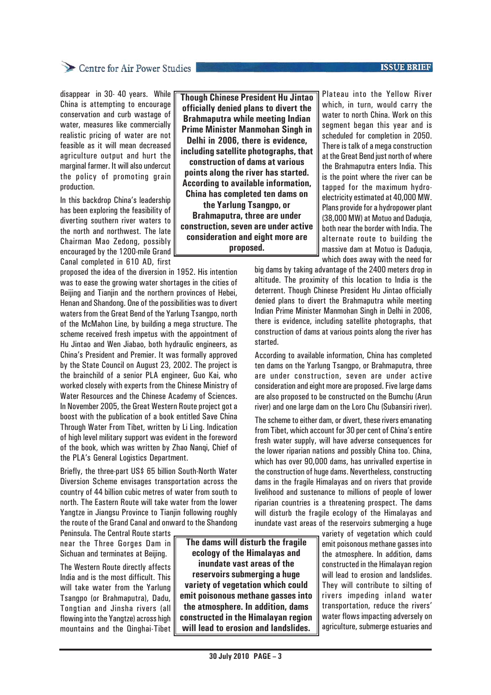### **ISSUE BRIEF**

## Centre for Air Power Studies

disappear in 30- 40 years. While China is attempting to encourage conservation and curb wastage of water, measures like commercially realistic pricing of water are not feasible as it will mean decreased agriculture output and hurt the marginal farmer. It will also undercut the policy of promoting grain production.

In this backdrop China's leadership has been exploring the feasibility of diverting southern river waters to the north and northwest. The late Chairman Mao Zedong, possibly encouraged by the 1200-mile Grand Canal completed in 610 AD, first

proposed the idea of the diversion in 1952. His intention was to ease the growing water shortages in the cities of Beijing and Tianjin and the northern provinces of Hebei, Henan and Shandong. One of the possibilities was to divert waters from the Great Bend of the Yarlung Tsangpo, north of the McMahon Line, by building a mega structure. The scheme received fresh impetus with the appointment of Hu Jintao and Wen Jiabao, both hydraulic engineers, as China's President and Premier. It was formally approved by the State Council on August 23, 2002. The project is the brainchild of a senior PLA engineer, Guo Kai, who worked closely with experts from the Chinese Ministry of Water Resources and the Chinese Academy of Sciences. In November 2005, the Great Western Route project got a boost with the publication of a book entitled Save China Through Water From Tibet, written by Li Ling. Indication of high level military support was evident in the foreword of the book, which was written by Zhao Nanqi, Chief of the PLA's General Logistics Department.

Briefly, the three-part US\$ 65 billion South-North Water Diversion Scheme envisages transportation across the country of 44 billion cubic metres of water from south to north. The Eastern Route will take water from the lower Yangtze in Jiangsu Province to Tianjin following roughly the route of the Grand Canal and onward to the Shandong

Peninsula. The Central Route starts near the Three Gorges Dam in Sichuan and terminates at Beijing.

The Western Route directly affects India and is the most difficult. This will take water from the Yarlung Tsangpo (or Brahmaputra), Dadu, Tongtian and Jinsha rivers (all flowing into the Yangtze) across high mountains and the Qinghai-Tibet

**Though Chinese President Hu Jintao officially denied plans to divert the Brahmaputra while meeting Indian Prime Minister Manmohan Singh in Delhi in 2006, there is evidence, including satellite photographs, that construction of dams at various points along the river has started. According to available information, China has completed ten dams on the Yarlung Tsangpo, or Brahmaputra, three are under construction, seven are under active consideration and eight more are proposed.**

Plateau into the Yellow River which, in turn, would carry the water to north China. Work on this segment began this year and is scheduled for completion in 2050. There is talk of a mega construction at the Great Bend just north of where the Brahmaputra enters India. This is the point where the river can be tapped for the maximum hydroelectricity estimated at 40,000 MW. Plans provide for a hydropower plant (38,000 MW) at Motuo and Daduqia, both near the border with India. The alternate route to building the massive dam at Motuo is Daduqia, which does away with the need for

big dams by taking advantage of the 2400 meters drop in altitude. The proximity of this location to India is the deterrent. Though Chinese President Hu Jintao officially denied plans to divert the Brahmaputra while meeting Indian Prime Minister Manmohan Singh in Delhi in 2006, there is evidence, including satellite photographs, that construction of dams at various points along the river has started.

According to available information, China has completed ten dams on the Yarlung Tsangpo, or Brahmaputra, three are under construction, seven are under active consideration and eight more are proposed. Five large dams are also proposed to be constructed on the Bumchu (Arun river) and one large dam on the Loro Chu (Subansiri river).

The scheme to either dam, or divert, these rivers emanating from Tibet, which account for 30 per cent of China's entire fresh water supply, will have adverse consequences for the lower riparian nations and possibly China too. China, which has over 90,000 dams, has unrivalled expertise in the construction of huge dams. Nevertheless, constructing dams in the fragile Himalayas and on rivers that provide livelihood and sustenance to millions of people of lower riparian countries is a threatening prospect. The dams will disturb the fragile ecology of the Himalayas and inundate vast areas of the reservoirs submerging a huge

> variety of vegetation which could emit poisonous methane gasses into the atmosphere. In addition, dams constructed in the Himalayan region will lead to erosion and landslides. They will contribute to silting of rivers impeding inland water transportation, reduce the rivers' water flows impacting adversely on agriculture, submerge estuaries and

**The dams will disturb the fragile ecology of the Himalayas and inundate vast areas of the reservoirs submerging a huge variety of vegetation which could emit poisonous methane gasses into the atmosphere. In addition, dams constructed in the Himalayan region will lead to erosion and landslides.**